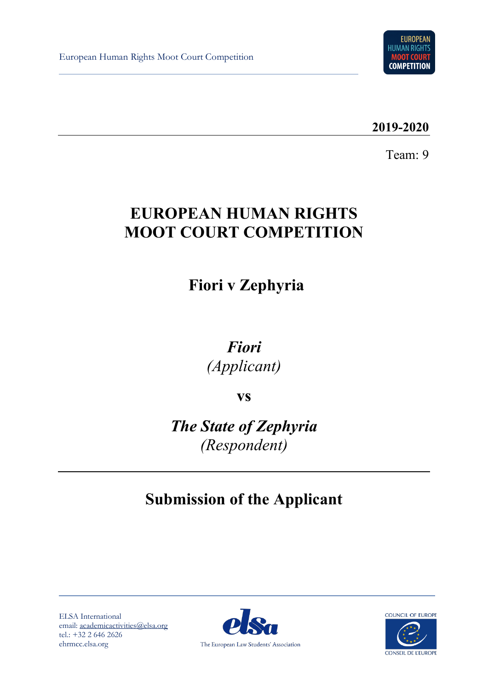

**2019-2020**

Team: 9

# **EUROPEAN HUMAN RIGHTS MOOT COURT COMPETITION**

 **Fiori v Zephyria**

*Fiori (Applicant)*

**vs**

*The State of Zephyria (Respondent)*

# **Submission of the Applicant**

ELSA International email: [academicactivities@elsa.org](mailto:academicactivities@elsa.org) tel.: +32 2 646 2626 ehrmcc.elsa.org



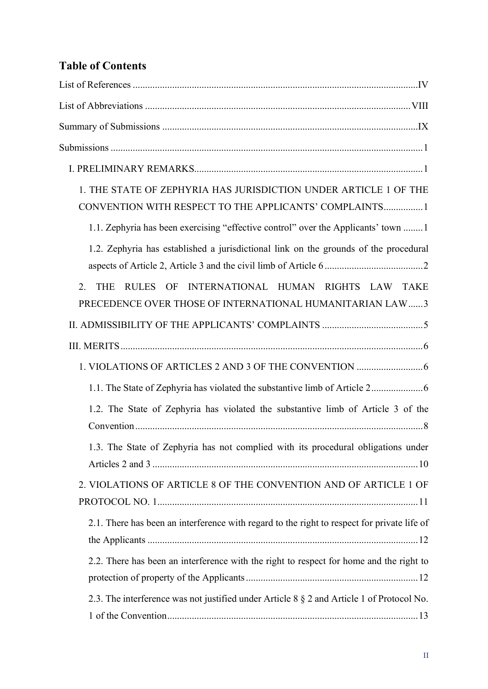# **Table of Contents**

| 1. THE STATE OF ZEPHYRIA HAS JURISDICTION UNDER ARTICLE 1 OF THE<br>CONVENTION WITH RESPECT TO THE APPLICANTS' COMPLAINTS1       |
|----------------------------------------------------------------------------------------------------------------------------------|
| 1.1. Zephyria has been exercising "effective control" over the Applicants' town  1                                               |
| 1.2. Zephyria has established a jurisdictional link on the grounds of the procedural                                             |
| INTERNATIONAL HUMAN RIGHTS LAW TAKE<br>2.<br><b>THE</b><br>RULES OF<br>PRECEDENCE OVER THOSE OF INTERNATIONAL HUMANITARIAN LAW 3 |
|                                                                                                                                  |
|                                                                                                                                  |
|                                                                                                                                  |
|                                                                                                                                  |
| 1.2. The State of Zephyria has violated the substantive limb of Article 3 of the                                                 |
| 1.3. The State of Zephyria has not complied with its procedural obligations under                                                |
| 2. VIOLATIONS OF ARTICLE 8 OF THE CONVENTION AND OF ARTICLE 1 OF                                                                 |
| 2.1. There has been an interference with regard to the right to respect for private life of                                      |
| 2.2. There has been an interference with the right to respect for home and the right to                                          |
| 2.3. The interference was not justified under Article 8 § 2 and Article 1 of Protocol No.                                        |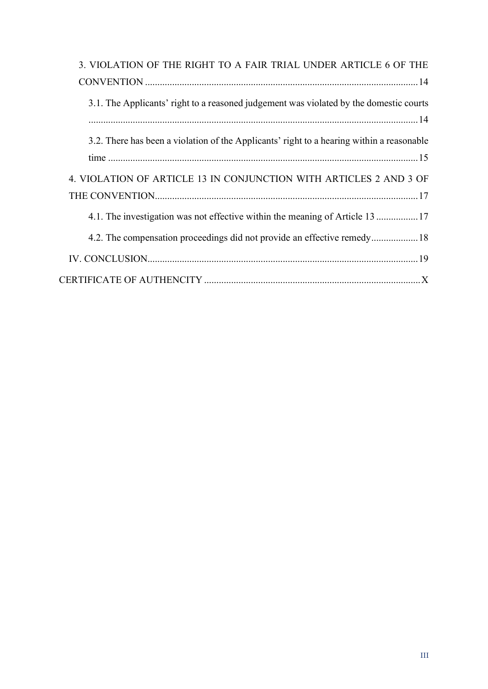| 3. VIOLATION OF THE RIGHT TO A FAIR TRIAL UNDER ARTICLE 6 OF THE                          |
|-------------------------------------------------------------------------------------------|
|                                                                                           |
| 3.1. The Applicants' right to a reasoned judgement was violated by the domestic courts    |
| 3.2. There has been a violation of the Applicants' right to a hearing within a reasonable |
| 4. VIOLATION OF ARTICLE 13 IN CONJUNCTION WITH ARTICLES 2 AND 3 OF                        |
|                                                                                           |
|                                                                                           |
|                                                                                           |
|                                                                                           |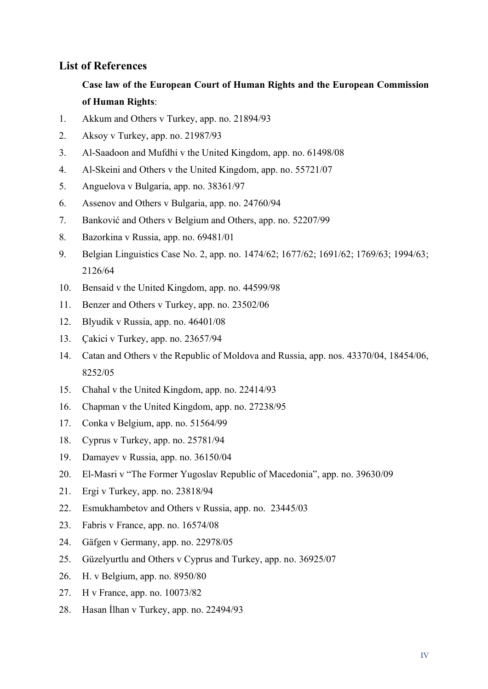### <span id="page-3-0"></span>**List of References**

# **Case law of the European Court of Human Rights and the European Commission of Human Rights**:

- 1. Akkum and Others v Turkey, app. no. 21894/93
- 2. Aksoy v Turkey, app. no. 21987/93
- 3. Al-Saadoon and Mufdhi v the United Kingdom, app. no. 61498/08
- 4. Al-Skeini and Others v the United Kingdom, app. no. 55721/07
- 5. Anguelova v Bulgaria, app. no. 38361/97
- 6. Assenov and Others v Bulgaria, app. no. 24760/94
- 7. Banković and Others v Belgium and Others, app. no. 52207/99
- 8. Bazorkina v Russia, app. no. 69481/01
- 9. Belgian Linguistics Case No. 2, app. no. 1474/62; 1677/62; 1691/62; 1769/63; 1994/63; 2126/64
- 10. Bensaid v the United Kingdom, app. no. 44599/98
- 11. Benzer and Others v Turkey, app. no. 23502/06
- 12. Blyudik v Russia, app. no. 46401/08
- 13. Çakici v Turkey, app. no. 23657/94
- 14. Catan and Others v the Republic of Moldova and Russia, app. nos. 43370/04, 18454/06, 8252/05
- 15. Chahal v the United Kingdom, app. no. 22414/93
- 16. Chapman v the United Kingdom, app. no. 27238/95
- 17. Conka v Belgium, app. no. 51564/99
- 18. Cyprus v Turkey, app. no. 25781/94
- 19. Damayev v Russia, app. no. 36150/04
- 20. El-Masri v "The Former Yugoslav Republic of Macedonia", app. no. 39630/09
- 21. Ergi v Turkey, app. no. 23818/94
- 22. Esmukhambetov and Others v Russia, app. no. 23445/03
- 23. Fabris v France, app. no. 16574/08
- 24. Gäfgen v Germany, app. no. 22978/05
- 25. Güzelyurtlu and Others v Cyprus and Turkey, app. no. 36925/07
- 26. H. v Belgium, app. no. 8950/80
- 27. H v France, app. no. 10073/82
- 28. Hasan İlhan v Turkey, app. no. 22494/93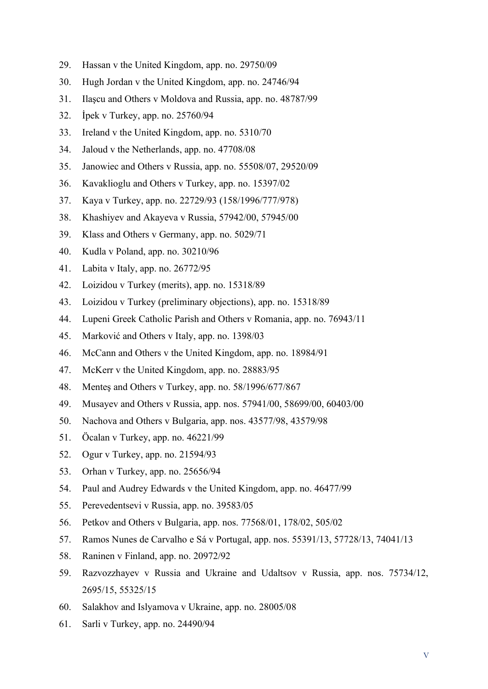- 29. Hassan v the United Kingdom, app. no. 29750/09
- 30. Hugh Jordan v the United Kingdom, app. no. 24746/94
- 31. Ilaşcu and Others v Moldova and Russia, app. no. 48787/99
- 32. İpek v Turkey, app. no. 25760/94
- 33. Ireland v the United Kingdom, app. no. 5310/70
- 34. Jaloud v the Netherlands, app. no. 47708/08
- 35. Janowiec and Others v Russia, app. no. 55508/07, 29520/09
- 36. Kavaklioglu and Others v Turkey, app. no. 15397/02
- 37. Kaya v Turkey, app. no. 22729/93 (158/1996/777/978)
- 38. Khashiyev and Akayeva v Russia, 57942/00, 57945/00
- 39. Klass and Others v Germany, app. no. 5029/71
- 40. Kudla v Poland, app. no. 30210/96
- 41. Labita v Italy, app. no. 26772/95
- 42. Loizidou v Turkey (merits), app. no. 15318/89
- 43. Loizidou v Turkey (preliminary objections), app. no. 15318/89
- 44. Lupeni Greek Catholic Parish and Others v Romania, app. no. 76943/11
- 45. Marković and Others v Italy, app. no. 1398/03
- 46. McCann and Others v the United Kingdom, app. no. 18984/91
- 47. McKerr v the United Kingdom, app. no. 28883/95
- 48. Menteş and Others v Turkey, app. no. 58/1996/677/867
- 49. Musayev and Others v Russia, app. nos. 57941/00, 58699/00, 60403/00
- 50. Nachova and Others v Bulgaria, app. nos. 43577/98, 43579/98
- 51. Öcalan v Turkey, app. no. 46221/99
- 52. Ogur v Turkey, app. no. 21594/93
- 53. Orhan v Turkey, app. no. 25656/94
- 54. Paul and Audrey Edwards v the United Kingdom, app. no. 46477/99
- 55. Perevedentsevi v Russia, app. no. 39583/05
- 56. Petkov and Others v Bulgaria, app. nos. 77568/01, 178/02, 505/02
- 57. Ramos Nunes de Carvalho e Sá v Portugal, app. nos. 55391/13, 57728/13, 74041/13
- 58. Raninen v Finland, app. no. 20972/92
- 59. Razvozzhayev v Russia and Ukraine and Udaltsov v Russia, app. nos. 75734/12, 2695/15, 55325/15
- 60. Salakhov and Islyamova v Ukraine, app. no. 28005/08
- 61. Sarli v Turkey, app. no. 24490/94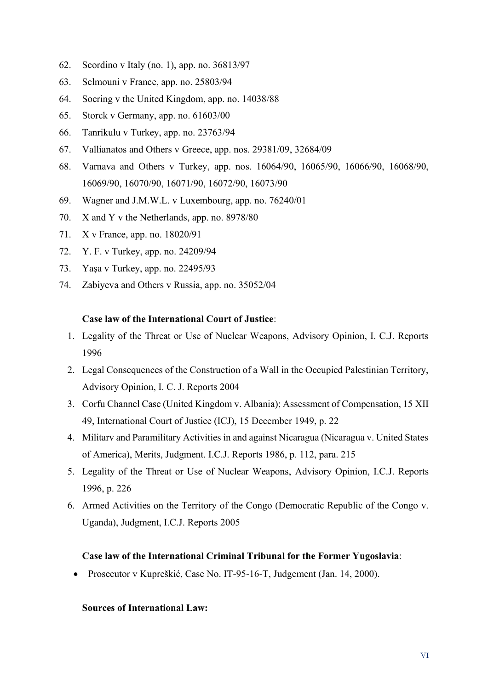- 62. Scordino v Italy (no. 1), app. no. 36813/97
- 63. Selmouni v France, app. no. 25803/94
- 64. Soering v the United Kingdom, app. no. 14038/88
- 65. Storck v Germany, app. no. 61603/00
- 66. Tanrikulu v Turkey, app. no. 23763/94
- 67. Vallianatos and Others v Greece, app. nos. 29381/09, 32684/09
- 68. Varnava and Others v Turkey, app. nos. 16064/90, 16065/90, 16066/90, 16068/90, 16069/90, 16070/90, 16071/90, 16072/90, 16073/90
- 69. Wagner and J.M.W.L. v Luxembourg, app. no. 76240/01
- 70. X and Y v the Netherlands, app. no. 8978/80
- 71. X v France, app. no. 18020/91
- 72. Y. F. v Turkey, app. no. 24209/94
- 73. Yaşa v Turkey, app. no. 22495/93
- 74. Zabiyeva and Others v Russia, app. no. 35052/04

#### **Case law of the International Court of Justice**:

- 1. Legality of the Threat or Use of Nuclear Weapons, Advisory Opinion, I. C.J. Reports 1996
- 2. Legal Consequences of the Construction of a Wall in the Occupied Palestinian Territory, Advisory Opinion, I. C. J. Reports 2004
- 3. Corfu Channel Case (United Kingdom v. Albania); Assessment of Compensation, 15 XII 49, International Court of Justice (ICJ), 15 December 1949, p. 22
- 4. Militarv and Paramilitary Activities in and against Nicaragua (Nicaragua v. United States of America), Merits, Judgment. I.C.J. Reports 1986, p. 112, para. 215
- 5. Legality of the Threat or Use of Nuclear Weapons, Advisory Opinion, I.C.J. Reports 1996, p. 226
- 6. Armed Activities on the Territory of the Congo (Democratic Republic of the Congo v. Uganda), Judgment, I.C.J. Reports 2005

#### **Case law of the International Criminal Tribunal for the Former Yugoslavia**:

• Prosecutor v Kupreškić, Case No. IT-95-16-T, Judgement (Jan. 14, 2000).

#### **Sources of International Law:**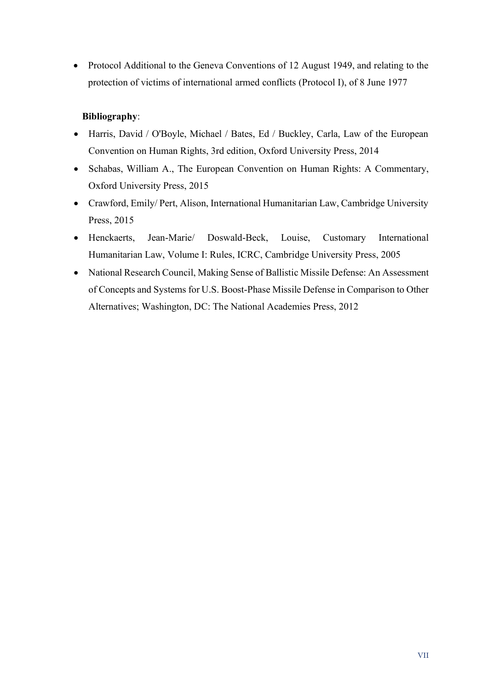• Protocol Additional to the Geneva Conventions of 12 August 1949, and relating to the protection of victims of international armed conflicts (Protocol I), of 8 June 1977

### **Bibliography**:

- Harris, David / O'Boyle, Michael / Bates, Ed / Buckley, Carla, Law of the European Convention on Human Rights, 3rd edition, Oxford University Press, 2014
- Schabas, William A., The European Convention on Human Rights: A Commentary, Oxford University Press, 2015
- Crawford, Emily/ Pert, Alison, International Humanitarian Law, Cambridge University Press, 2015
- Henckaerts, Jean-Marie/ Doswald-Beck, Louise, Customary International Humanitarian Law, Volume I: Rules, ICRC, Cambridge University Press, 2005
- National Research Council, Making Sense of Ballistic Missile Defense: An Assessment of Concepts and Systems for U.S. Boost-Phase Missile Defense in Comparison to Other Alternatives; Washington, DC: The National Academies Press, 2012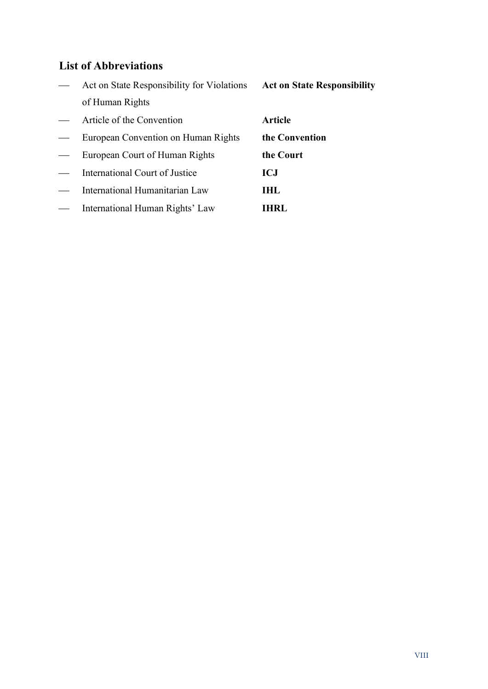# <span id="page-7-0"></span>**List of Abbreviations**

|                   | Act on State Responsibility for Violations | <b>Act on State Responsibility</b> |
|-------------------|--------------------------------------------|------------------------------------|
|                   | of Human Rights                            |                                    |
|                   | Article of the Convention                  | Article                            |
|                   | European Convention on Human Rights        | the Convention                     |
| $\hspace{0.05cm}$ | European Court of Human Rights             | the Court                          |
|                   | International Court of Justice             | ICJ                                |
|                   | International Humanitarian Law             | THL.                               |
|                   | International Human Rights' Law            | IHRL.                              |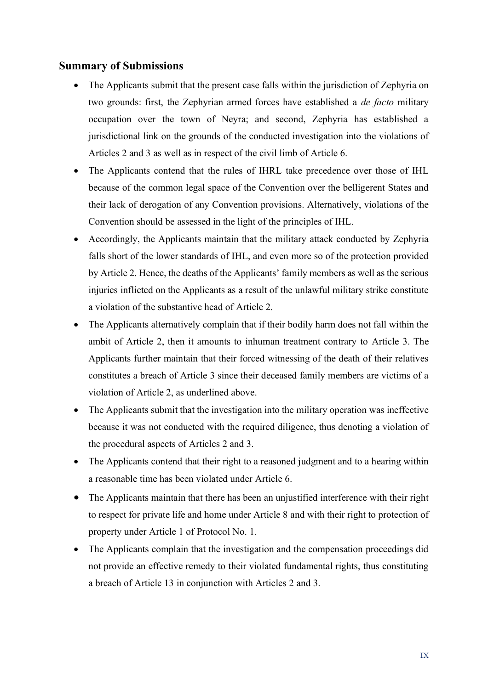### <span id="page-8-0"></span>**Summary of Submissions**

- The Applicants submit that the present case falls within the jurisdiction of Zephyria on two grounds: first, the Zephyrian armed forces have established a *de facto* military occupation over the town of Neyra; and second, Zephyria has established a jurisdictional link on the grounds of the conducted investigation into the violations of Articles 2 and 3 as well as in respect of the civil limb of Article 6.
- The Applicants contend that the rules of IHRL take precedence over those of IHL because of the common legal space of the Convention over the belligerent States and their lack of derogation of any Convention provisions. Alternatively, violations of the Convention should be assessed in the light of the principles of IHL.
- Accordingly, the Applicants maintain that the military attack conducted by Zephyria falls short of the lower standards of IHL, and even more so of the protection provided by Article 2. Hence, the deaths of the Applicants' family members as well as the serious injuries inflicted on the Applicants as a result of the unlawful military strike constitute a violation of the substantive head of Article 2.
- The Applicants alternatively complain that if their bodily harm does not fall within the ambit of Article 2, then it amounts to inhuman treatment contrary to Article 3. The Applicants further maintain that their forced witnessing of the death of their relatives constitutes a breach of Article 3 since their deceased family members are victims of a violation of Article 2, as underlined above.
- The Applicants submit that the investigation into the military operation was ineffective because it was not conducted with the required diligence, thus denoting a violation of the procedural aspects of Articles 2 and 3.
- The Applicants contend that their right to a reasoned judgment and to a hearing within a reasonable time has been violated under Article 6.
- The Applicants maintain that there has been an uniustified interference with their right to respect for private life and home under Article 8 and with their right to protection of property under Article 1 of Protocol No. 1.
- The Applicants complain that the investigation and the compensation proceedings did not provide an effective remedy to their violated fundamental rights, thus constituting a breach of Article 13 in conjunction with Articles 2 and 3.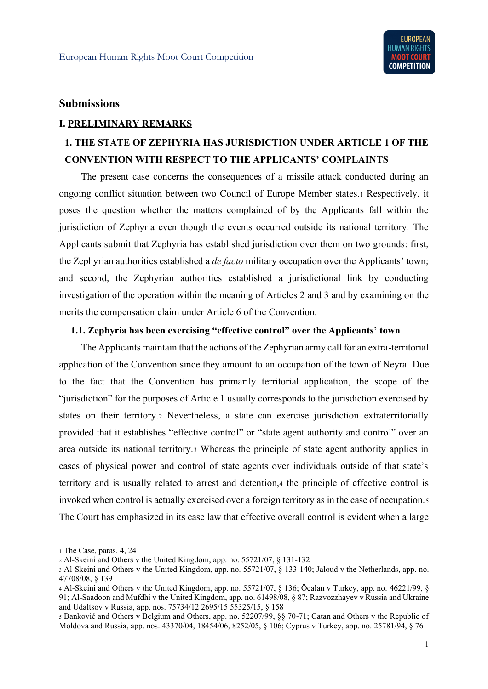### <span id="page-9-0"></span>**Submissions**

#### <span id="page-9-1"></span>**I. PRELIMINARY REMARKS**

# <span id="page-9-2"></span>**1. THE STATE OF ZEPHYRIA HAS JURISDICTION UNDER ARTICLE 1 OF THE CONVENTION WITH RESPECT TO THE APPLICANTS' COMPLAINTS**

The present case concerns the consequences of a missile attack conducted during an ongoing conflict situation between two Council of Europe Member states.1 Respectively, it poses the question whether the matters complained of by the Applicants fall within the jurisdiction of Zephyria even though the events occurred outside its national territory. The Applicants submit that Zephyria has established jurisdiction over them on two grounds: first, the Zephyrian authorities established a *de facto* military occupation over the Applicants' town; and second, the Zephyrian authorities established a jurisdictional link by conducting investigation of the operation within the meaning of Articles 2 and 3 and by examining on the merits the compensation claim under Article 6 of the Convention.

#### <span id="page-9-3"></span>**1.1. Zephyria has been exercising "effective control" over the Applicants' town**

The Applicants maintain that the actions of the Zephyrian army call for an extra-territorial application of the Convention since they amount to an occupation of the town of Neyra. Due to the fact that the Convention has primarily territorial application, the scope of the "jurisdiction" for the purposes of Article 1 usually corresponds to the jurisdiction exercised by states on their territory.2 Nevertheless, a state can exercise jurisdiction extraterritorially provided that it establishes "effective control" or "state agent authority and control" over an area outside its national territory.3 Whereas the principle of state agent authority applies in cases of physical power and control of state agents over individuals outside of that state's territory and is usually related to arrest and detention,4 the principle of effective control is invoked when control is actually exercised over a foreign territory as in the case of occupation.5 The Court has emphasized in its case law that effective overall control is evident when a large

<sup>1</sup> The Case, paras. 4, 24

<sup>2</sup> Al-Skeini and Others v the United Kingdom, app. no. 55721/07, § 131-132

<sup>3</sup> Al-Skeini and Others v the United Kingdom, app. no. 55721/07, § 133-140; Jaloud v the Netherlands, app. no. 47708/08, § 139

<sup>4</sup> Al-Skeini and Others v the United Kingdom, app. no. 55721/07, § 136; Öcalan v Turkey, app. no. 46221/99, § 91; Al-Saadoon and Mufdhi v the United Kingdom, app. no. 61498/08, § 87; Razvozzhayev v Russia and Ukraine and Udaltsov v Russia, app. nos. 75734/12 2695/15 55325/15, § 158

<sup>5</sup> Banković and Others v Belgium and Others, app. no. 52207/99, §§ 70-71; Catan and Others v the Republic of Moldova and Russia, app. nos. 43370/04, 18454/06, 8252/05, § 106; Cyprus v Turkey, app. no. 25781/94, § 76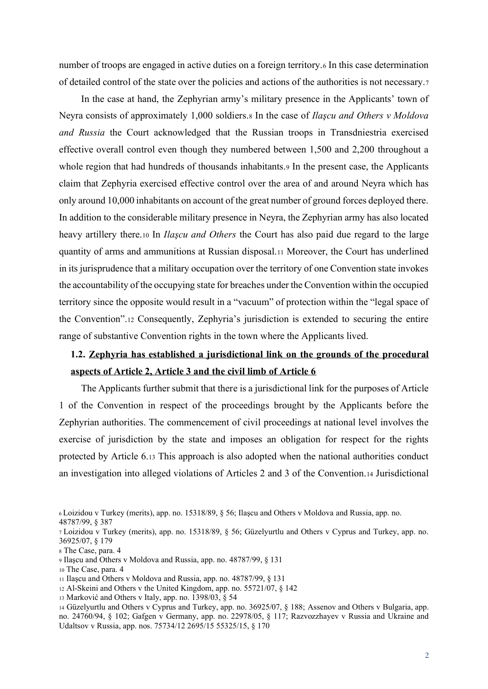number of troops are engaged in active duties on a foreign territory.6 In this case determination of detailed control of the state over the policies and actions of the authorities is not necessary.7

In the case at hand, the Zephyrian army's military presence in the Applicants' town of Neyra consists of approximately 1,000 soldiers.8 In the case of *Ilaşcu and Others v Moldova and Russia* the Court acknowledged that the Russian troops in Transdniestria exercised effective overall control even though they numbered between 1,500 and 2,200 throughout a whole region that had hundreds of thousands inhabitants.<sup>9</sup> In the present case, the Applicants claim that Zephyria exercised effective control over the area of and around Neyra which has only around 10,000 inhabitants on account of the great number of ground forces deployed there. In addition to the considerable military presence in Neyra, the Zephyrian army has also located heavy artillery there.10 In *Ilaşcu and Others* the Court has also paid due regard to the large quantity of arms and ammunitions at Russian disposal.11 Moreover, the Court has underlined in its jurisprudence that a military occupation over the territory of one Convention state invokes the accountability of the occupying state for breaches under the Convention within the occupied territory since the opposite would result in a "vacuum" of protection within the "legal space of the Convention".<sup>12</sup> Consequently, Zephyria's jurisdiction is extended to securing the entire range of substantive Convention rights in the town where the Applicants lived.

# <span id="page-10-0"></span>**1.2. Zephyria has established a jurisdictional link on the grounds of the procedural aspects of Article 2, Article 3 and the civil limb of Article 6**

The Applicants further submit that there is a jurisdictional link for the purposes of Article 1 of the Convention in respect of the proceedings brought by the Applicants before the Zephyrian authorities. The commencement of civil proceedings at national level involves the exercise of jurisdiction by the state and imposes an obligation for respect for the rights protected by Article 6.13 This approach is also adopted when the national authorities conduct an investigation into alleged violations of Articles 2 and 3 of the Convention.14 Jurisdictional

48787/99, § 387

- <sup>12</sup> Al-Skeini and Others v the United Kingdom, app. no. 55721/07, § 142
- <sup>13</sup> Marković and Others v Italy, app. no. 1398/03, § 54

<sup>6</sup> Loizidou v Turkey (merits), app. no. 15318/89, § 56; Ilaşcu and Others v Moldova and Russia, app. no.

<sup>7</sup> Loizidou v Turkey (merits), app. no. 15318/89, § 56; Güzelyurtlu and Others v Cyprus and Turkey, app. no. 36925/07, § 179

<sup>8</sup> The Case, para. 4

<sup>9</sup> Ilaşcu and Others v Moldova and Russia, app. no. 48787/99, § 131

<sup>10</sup> The Case, para. 4

<sup>11</sup> Ilaşcu and Others v Moldova and Russia, app. no. 48787/99, § 131

<sup>14</sup> Güzelyurtlu and Others v Cyprus and Turkey, app. no. 36925/07, § 188; Assenov and Others v Bulgaria, app. no. 24760/94, § 102; Gafgen v Germany, app. no. 22978/05, § 117; Razvozzhayev v Russia and Ukraine and Udaltsov v Russia, app. nos. 75734/12 2695/15 55325/15, § 170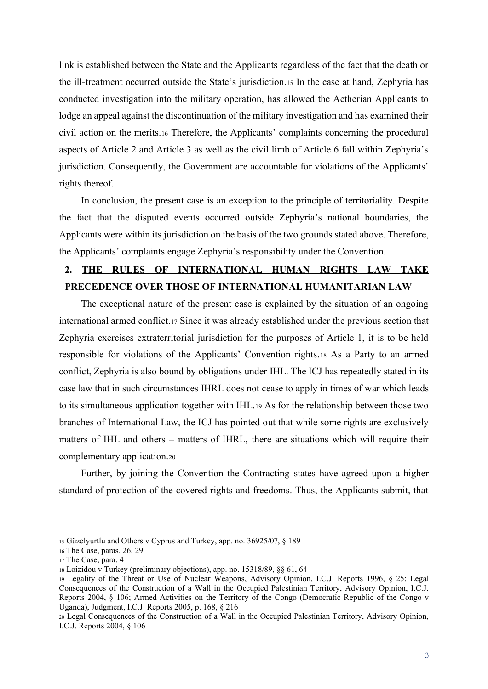link is established between the State and the Applicants regardless of the fact that the death or the ill-treatment occurred outside the State's jurisdiction.15 In the case at hand, Zephyria has conducted investigation into the military operation, has allowed the Aetherian Applicants to lodge an appeal against the discontinuation of the military investigation and has examined their civil action on the merits.16 Therefore, the Applicants' complaints concerning the procedural aspects of Article 2 and Article 3 as well as the civil limb of Article 6 fall within Zephyria's jurisdiction. Consequently, the Government are accountable for violations of the Applicants' rights thereof.

In conclusion, the present case is an exception to the principle of territoriality. Despite the fact that the disputed events occurred outside Zephyria's national boundaries, the Applicants were within its jurisdiction on the basis of the two grounds stated above. Therefore, the Applicants' complaints engage Zephyria's responsibility under the Convention.

## <span id="page-11-0"></span>**2. THE RULES OF INTERNATIONAL HUMAN RIGHTS LAW TAKE PRECEDENCE OVER THOSE OF INTERNATIONAL HUMANITARIAN LAW**

The exceptional nature of the present case is explained by the situation of an ongoing international armed conflict.17 Since it was already established under the previous section that Zephyria exercises extraterritorial jurisdiction for the purposes of Article 1, it is to be held responsible for violations of the Applicants' Convention rights.<sup>18</sup> As a Party to an armed conflict, Zephyria is also bound by obligations under IHL. The ICJ has repeatedly stated in its case law that in such circumstances IHRL does not cease to apply in times of war which leads to its simultaneous application together with IHL.19 As for the relationship between those two branches of International Law, the ICJ has pointed out that while some rights are exclusively matters of IHL and others – matters of IHRL, there are situations which will require their complementary application.20

Further, by joining the Convention the Contracting states have agreed upon a higher standard of protection of the covered rights and freedoms. Thus, the Applicants submit, that

<sup>15</sup> Güzelyurtlu and Others v Cyprus and Turkey, app. no. 36925/07, § 189

<sup>16</sup> The Case, paras. 26, 29

<sup>17</sup> The Case, para. 4

<sup>18</sup> Loizidou v Turkey (preliminary objections), app. no. 15318/89, §§ 61, 64

<sup>19</sup> Legality of the Threat or Use of Nuclear Weapons, Advisory Opinion, I.C.J. Reports 1996, § 25; Legal Consequences of the Construction of a Wall in the Occupied Palestinian Territory, Advisory Opinion, I.C.J. Reports 2004, § 106; Armed Activities on the Territory of the Congo (Democratic Republic of the Congo v Uganda), Judgment, I.C.J. Reports 2005, p. 168, § 216

<sup>20</sup> Legal Consequences of the Construction of a Wall in the Occupied Palestinian Territory, Advisory Opinion, I.C.J. Reports 2004, § 106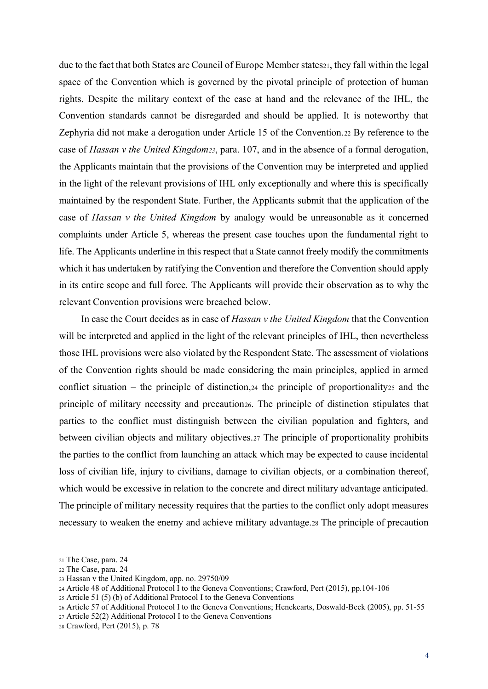due to the fact that both States are Council of Europe Member states<sub>21</sub>, they fall within the legal space of the Convention which is governed by the pivotal principle of protection of human rights. Despite the military context of the case at hand and the relevance of the IHL, the Convention standards cannot be disregarded and should be applied. It is noteworthy that Zephyria did not make a derogation under Article 15 of the Convention.22 By reference to the case of *Hassan v the United Kingdom23*, para. 107, and in the absence of a formal derogation, the Applicants maintain that the provisions of the Convention may be interpreted and applied in the light of the relevant provisions of IHL only exceptionally and where this is specifically maintained by the respondent State. Further, the Applicants submit that the application of the case of *Hassan v the United Kingdom* by analogy would be unreasonable as it concerned complaints under Article 5, whereas the present case touches upon the fundamental right to life. The Applicants underline in this respect that a State cannot freely modify the commitments which it has undertaken by ratifying the Convention and therefore the Convention should apply in its entire scope and full force. The Applicants will provide their observation as to why the relevant Convention provisions were breached below.

In case the Court decides as in case of *Hassan v the United Kingdom* that the Convention will be interpreted and applied in the light of the relevant principles of IHL, then nevertheless those IHL provisions were also violated by the Respondent State. The assessment of violations of the Convention rights should be made considering the main principles, applied in armed conflict situation – the principle of distinction,  $24$  the principle of proportionality  $25$  and the principle of military necessity and precaution26. The principle of distinction stipulates that parties to the conflict must distinguish between the civilian population and fighters, and between civilian objects and military objectives.27 The principle of proportionality prohibits the parties to the conflict from launching an attack which may be expected to cause incidental loss of civilian life, injury to civilians, damage to civilian objects, or a combination thereof, which would be excessive in relation to the concrete and direct military advantage anticipated. The principle of military necessity requires that the parties to the conflict only adopt measures necessary to weaken the enemy and achieve military advantage.28 The principle of precaution

<sup>21</sup> The Case, para. 24

<sup>22</sup> The Case, para. 24

<sup>23</sup> Hassan v the United Kingdom, app. no. 29750/09

<sup>24</sup> Article 48 of Additional Protocol I to the Geneva Conventions; Crawford, Pert (2015), pp.104-106

<sup>25</sup> Article 51 (5) (b) of Additional Protocol I to the Geneva Conventions

<sup>26</sup> Article 57 of Additional Protocol I to the Geneva Conventions; Henckearts, Doswald-Beck (2005), pp. 51-55

<sup>27</sup> Article 52(2) Additional Protocol I to the Geneva Conventions

<sup>28</sup> Crawford, Pert (2015), p. 78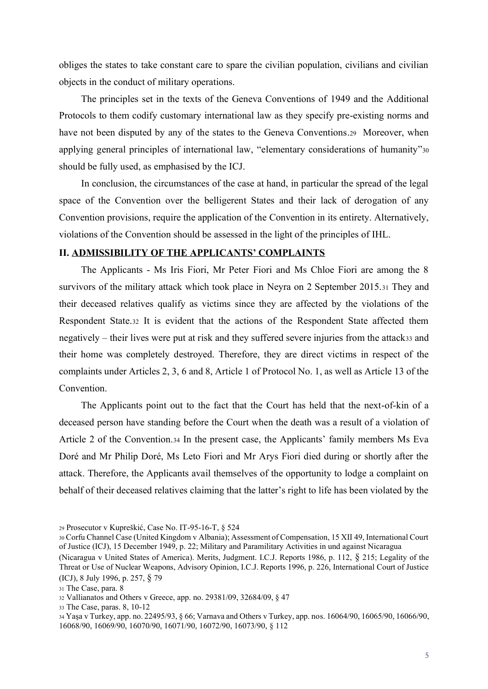obliges the states to take constant care to spare the civilian population, civilians and civilian objects in the conduct of military operations.

The principles set in the texts of the Geneva Conventions of 1949 and the Additional Protocols to them codify customary international law as they specify pre-existing norms and have not been disputed by any of the states to the Geneva Conventions.29 Moreover, when applying general principles of international law, "elementary considerations of humanity"<sup>30</sup> should be fully used, as emphasised by the ICJ.

In conclusion, the circumstances of the case at hand, in particular the spread of the legal space of the Convention over the belligerent States and their lack of derogation of any Convention provisions, require the application of the Convention in its entirety. Alternatively, violations of the Convention should be assessed in the light of the principles of IHL.

#### <span id="page-13-0"></span>**II. ADMISSIBILITY OF THE APPLICANTS' COMPLAINTS**

The Applicants - Ms Iris Fiori, Mr Peter Fiori and Ms Chloe Fiori are among the 8 survivors of the military attack which took place in Neyra on 2 September 2015.31 They and their deceased relatives qualify as victims since they are affected by the violations of the Respondent State.32 It is evident that the actions of the Respondent State affected them negatively – their lives were put at risk and they suffered severe injuries from the attack33 and their home was completely destroyed. Therefore, they are direct victims in respect of the complaints under Articles 2, 3, 6 and 8, Article 1 of Protocol No. 1, as well as Article 13 of the **Convention** 

The Applicants point out to the fact that the Court has held that the next-of-kin of a deceased person have standing before the Court when the death was a result of a violation of Article 2 of the Convention.34 In the present case, the Applicants' family members Ms Eva Doré and Mr Philip Doré, Ms Leto Fiori and Mr Arys Fiori died during or shortly after the attack. Therefore, the Applicants avail themselves of the opportunity to lodge a complaint on behalf of their deceased relatives claiming that the latter's right to life has been violated by the

<sup>29</sup> Prosecutor v Kupreškić, Case No. IT-95-16-T, § 524

<sup>30</sup> Corfu Channel Case (United Kingdom v Albania); Assessment of Compensation, 15 XII 49, International Court of Justice (ICJ), 15 December 1949, p. 22; Military and Paramilitary Activities in und against Nicaragua

<sup>(</sup>Nicaragua v United States of America). Merits, Judgment. I.C.J. Reports 1986, p. 112, § 215; Legality of the Threat or Use of Nuclear Weapons, Advisory Opinion, I.C.J. Reports 1996, p. 226, International Court of Justice (ICJ), 8 July 1996, p. 257, § 79

<sup>31</sup> The Case, para. 8

<sup>32</sup> Vallianatos and Others v Greece, app. no. 29381/09, 32684/09, § 47

<sup>33</sup> The Case, paras. 8, 10-12

<sup>34</sup> Yaşa v Turkey, app. no. 22495/93, § 66; Varnava and Others v Turkey, app. nos. 16064/90, 16065/90, 16066/90, 16068/90, 16069/90, 16070/90, 16071/90, 16072/90, 16073/90, § 112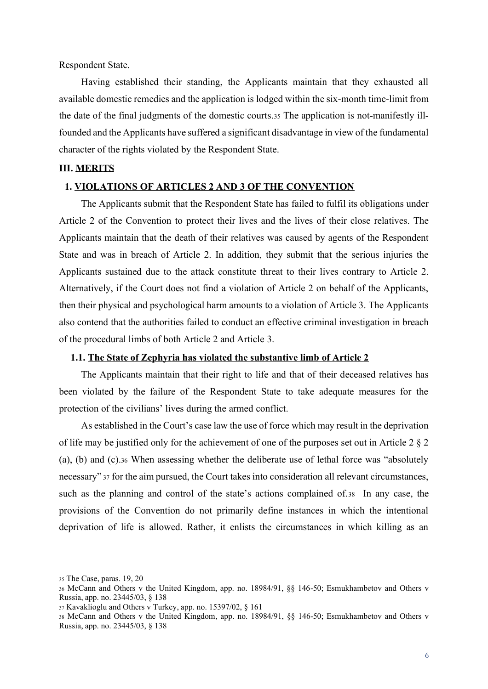Respondent State.

Having established their standing, the Applicants maintain that they exhausted all available domestic remedies and the application is lodged within the six-month time-limit from the date of the final judgments of the domestic courts.35 The application is not-manifestly illfounded and the Applicants have suffered a significant disadvantage in view of the fundamental character of the rights violated by the Respondent State.

#### <span id="page-14-0"></span>**III. MERITS**

#### <span id="page-14-1"></span>**1. VIOLATIONS OF ARTICLES 2 AND 3 OF THE CONVENTION**

The Applicants submit that the Respondent State has failed to fulfil its obligations under Article 2 of the Convention to protect their lives and the lives of their close relatives. The Applicants maintain that the death of their relatives was caused by agents of the Respondent State and was in breach of Article 2. In addition, they submit that the serious injuries the Applicants sustained due to the attack constitute threat to their lives contrary to Article 2. Alternatively, if the Court does not find a violation of Article 2 on behalf of the Applicants, then their physical and psychological harm amounts to a violation of Article 3. The Applicants also contend that the authorities failed to conduct an effective criminal investigation in breach of the procedural limbs of both Article 2 and Article 3.

#### <span id="page-14-2"></span>**1.1. The State of Zephyria has violated the substantive limb of Article 2**

The Applicants maintain that their right to life and that of their deceased relatives has been violated by the failure of the Respondent State to take adequate measures for the protection of the civilians' lives during the armed conflict.

As established in the Court's case law the use of force which may result in the deprivation of life may be justified only for the achievement of one of the purposes set out in Article 2 § 2 (a), (b) and (c).36 When assessing whether the deliberate use of lethal force was "absolutely necessary" <sup>37</sup> for the aim pursued, the Court takes into consideration all relevant circumstances, such as the planning and control of the state's actions complained of.38 In any case, the provisions of the Convention do not primarily define instances in which the intentional deprivation of life is allowed. Rather, it enlists the circumstances in which killing as an

<sup>35</sup> The Case, paras. 19, 20

<sup>36</sup> McCann and Others v the United Kingdom, app. no. 18984/91, §§ 146-50; Esmukhambetov and Others v Russia, app. no. 23445/03, § 138

<sup>37</sup> Kavaklioglu and Others v Turkey, app. no. 15397/02, § 161

<sup>38</sup> McCann and Others v the United Kingdom, app. no. 18984/91, §§ 146-50; Esmukhambetov and Others v Russia, app. no. 23445/03, § 138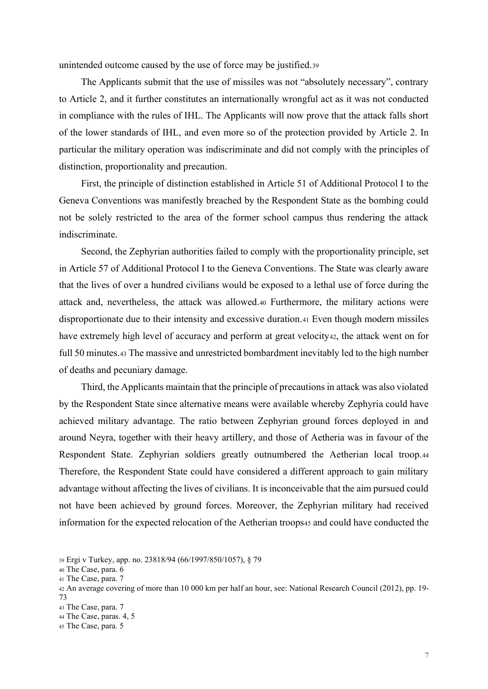unintended outcome caused by the use of force may be justified.39

The Applicants submit that the use of missiles was not "absolutely necessary", contrary to Article 2, and it further constitutes an internationally wrongful act as it was not conducted in compliance with the rules of IHL. The Applicants will now prove that the attack falls short of the lower standards of IHL, and even more so of the protection provided by Article 2. In particular the military operation was indiscriminate and did not comply with the principles of distinction, proportionality and precaution.

First, the principle of distinction established in Article 51 of Additional Protocol I to the Geneva Conventions was manifestly breached by the Respondent State as the bombing could not be solely restricted to the area of the former school campus thus rendering the attack indiscriminate.

Second, the Zephyrian authorities failed to comply with the proportionality principle, set in Article 57 of Additional Protocol I to the Geneva Conventions. The State was clearly aware that the lives of over a hundred civilians would be exposed to a lethal use of force during the attack and, nevertheless, the attack was allowed.40 Furthermore, the military actions were disproportionate due to their intensity and excessive duration.41 Even though modern missiles have extremely high level of accuracy and perform at great velocity42, the attack went on for full 50 minutes.43 The massive and unrestricted bombardment inevitably led to the high number of deaths and pecuniary damage.

Third, the Applicants maintain that the principle of precautions in attack was also violated by the Respondent State since alternative means were available whereby Zephyria could have achieved military advantage. The ratio between Zephyrian ground forces deployed in and around Neyra, together with their heavy artillery, and those of Aetheria was in favour of the Respondent State. Zephyrian soldiers greatly outnumbered the Aetherian local troop.44 Therefore, the Respondent State could have considered a different approach to gain military advantage without affecting the lives of civilians. It is inconceivable that the aim pursued could not have been achieved by ground forces. Moreover, the Zephyrian military had received information for the expected relocation of the Aetherian troops45 and could have conducted the

<sup>39</sup> Ergi v Turkey, app. no. 23818/94 (66/1997/850/1057), § 79

<sup>40</sup> The Case, para. 6

<sup>41</sup> The Case, para. 7

<sup>42</sup> An average covering of more than 10 000 km per half an hour, see: National Research Council (2012), pp. 19- 73

<sup>43</sup> The Case, para. 7

<sup>44</sup> The Case, paras. 4, 5

<sup>45</sup> The Case, para. 5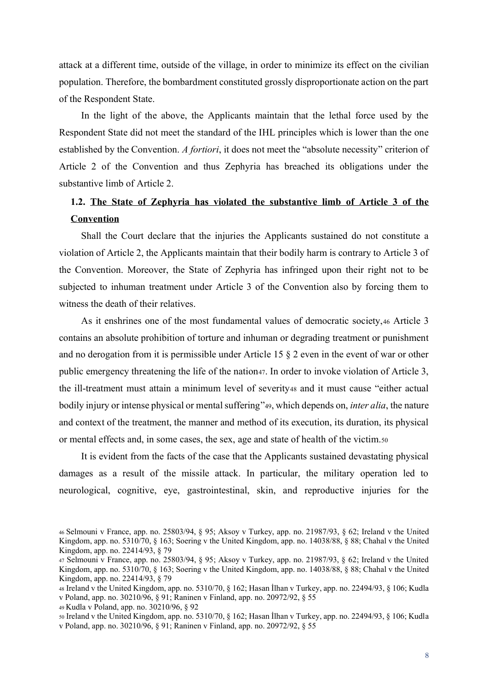attack at a different time, outside of the village, in order to minimize its effect on the civilian population. Therefore, the bombardment constituted grossly disproportionate action on the part of the Respondent State.

In the light of the above, the Applicants maintain that the lethal force used by the Respondent State did not meet the standard of the IHL principles which is lower than the one established by the Convention. *A fortiori*, it does not meet the "absolute necessity" criterion of Article 2 of the Convention and thus Zephyria has breached its obligations under the substantive limb of Article 2.

## <span id="page-16-0"></span>**1.2. The State of Zephyria has violated the substantive limb of Article 3 of the Convention**

Shall the Court declare that the injuries the Applicants sustained do not constitute a violation of Article 2, the Applicants maintain that their bodily harm is contrary to Article 3 of the Convention. Moreover, the State of Zephyria has infringed upon their right not to be subjected to inhuman treatment under Article 3 of the Convention also by forcing them to witness the death of their relatives.

As it enshrines one of the most fundamental values of democratic society,46 Article 3 contains an absolute prohibition of torture and inhuman or degrading treatment or punishment and no derogation from it is permissible under Article 15 § 2 even in the event of war or other public emergency threatening the life of the nation47. In order to invoke violation of Article 3, the ill-treatment must attain a minimum level of severity48 and it must cause "either actual bodily injury or intense physical or mental suffering"49, which depends on, *inter alia*, the nature and context of the treatment, the manner and method of its execution, its duration, its physical or mental effects and, in some cases, the sex, age and state of health of the victim.50

It is evident from the facts of the case that the Applicants sustained devastating physical damages as a result of the missile attack. In particular, the military operation led to neurological, cognitive, eye, gastrointestinal, skin, and reproductive injuries for the

<sup>46</sup> Selmouni v France, app. no. 25803/94, § 95; Aksoy v Turkey, app. no. 21987/93, § 62; Ireland v the United Kingdom, app. no. 5310/70, § 163; Soering v the United Kingdom, app. no. 14038/88, § 88; Chahal v the United Kingdom, app. no. 22414/93, § 79

<sup>47</sup> Selmouni v France, app. no. 25803/94, § 95; Aksoy v Turkey, app. no. 21987/93, § 62; Ireland v the United Kingdom, app. no. 5310/70, § 163; Soering v the United Kingdom, app. no. 14038/88, § 88; Chahal v the United Kingdom, app. no. 22414/93, § 79

<sup>48</sup> Ireland v the United Kingdom, app. no. 5310/70, § 162; Hasan İlhan v Turkey, app. no. 22494/93, § 106; Kudla v Poland, app. no. 30210/96, § 91; Raninen v Finland, app. no. 20972/92, § 55

<sup>49</sup> Kudla v Poland, app. no. 30210/96, § 92

<sup>50</sup> Ireland v the United Kingdom, app. no. 5310/70, § 162; Hasan İlhan v Turkey, app. no. 22494/93, § 106; Kudla v Poland, app. no. 30210/96, § 91; Raninen v Finland, app. no. 20972/92, § 55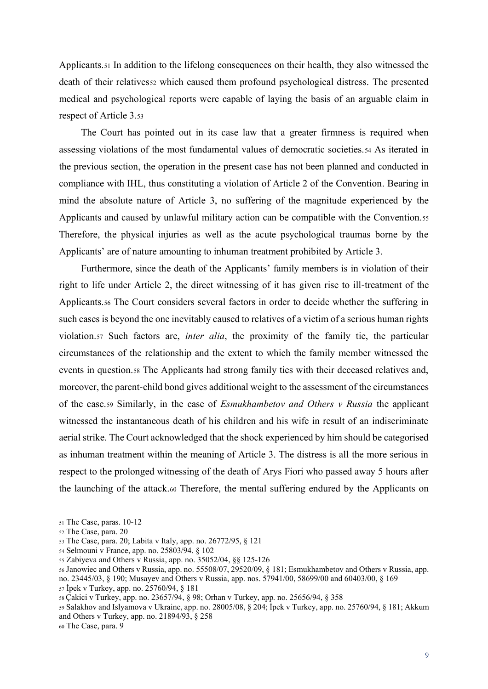Applicants.51 In addition to the lifelong consequences on their health, they also witnessed the death of their relatives to which caused them profound psychological distress. The presented medical and psychological reports were capable of laying the basis of an arguable claim in respect of Article 3.53

The Court has pointed out in its case law that a greater firmness is required when assessing violations of the most fundamental values of democratic societies.54 As iterated in the previous section, the operation in the present case has not been planned and conducted in compliance with IHL, thus constituting a violation of Article 2 of the Convention. Bearing in mind the absolute nature of Article 3, no suffering of the magnitude experienced by the Applicants and caused by unlawful military action can be compatible with the Convention.55 Therefore, the physical injuries as well as the acute psychological traumas borne by the Applicants' are of nature amounting to inhuman treatment prohibited by Article 3.

Furthermore, since the death of the Applicants' family members is in violation of their right to life under Article 2, the direct witnessing of it has given rise to ill-treatment of the Applicants.56 The Court considers several factors in order to decide whether the suffering in such cases is beyond the one inevitably caused to relatives of a victim of a serious human rights violation.57 Such factors are, *inter alia*, the proximity of the family tie, the particular circumstances of the relationship and the extent to which the family member witnessed the events in question.58 The Applicants had strong family ties with their deceased relatives and, moreover, the parent-child bond gives additional weight to the assessment of the circumstances of the case.59 Similarly, in the case of *Esmukhambetov and Others v Russia* the applicant witnessed the instantaneous death of his children and his wife in result of an indiscriminate aerial strike. The Court acknowledged that the shock experienced by him should be categorised as inhuman treatment within the meaning of Article 3. The distress is all the more serious in respect to the prolonged witnessing of the death of Arys Fiori who passed away 5 hours after the launching of the attack.60 Therefore, the mental suffering endured by the Applicants on

- <sup>54</sup> Selmouni v France, app. no. 25803/94. § 102
- <sup>55</sup> Zabiyeva and Others v Russia, app. no. 35052/04, §§ 125-126
- <sup>56</sup> Janowiec and Others v Russia, app. no. 55508/07, 29520/09, § 181; Esmukhambetov and Others v Russia, app. no. 23445/03, § 190; Musayev and Others v Russia, app. nos. 57941/00, 58699/00 and 60403/00, § 169 <sup>57</sup> İpek v Turkey, app. no. 25760/94, § 181
- <sup>58</sup> Çakici v Turkey, app. no. 23657/94, § 98; Orhan v Turkey, app. no. 25656/94, § 358

<sup>59</sup> Salakhov and Islyamova v Ukraine, app. no. 28005/08, § 204; İpek v Turkey, app. no. 25760/94, § 181; Akkum and Others v Turkey, app. no. 21894/93, § 258

<sup>60</sup> The Case, para. 9

<sup>51</sup> The Case, paras. 10-12

<sup>52</sup> The Case, para. 20

<sup>53</sup> The Case, para. 20; Labita v Italy, app. no. 26772/95, § 121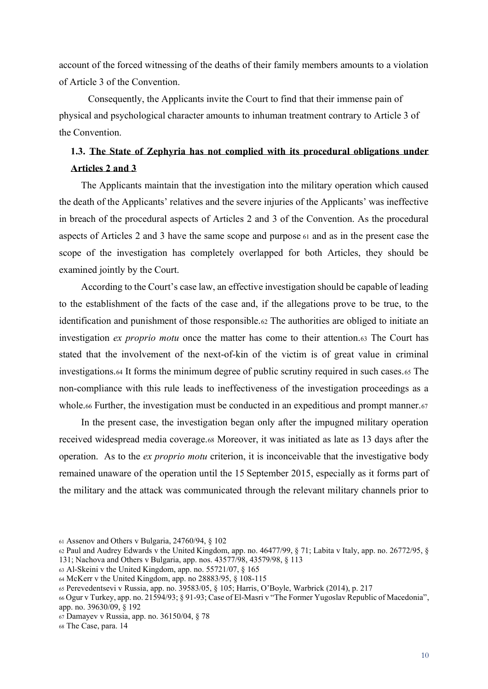account of the forced witnessing of the deaths of their family members amounts to a violation of Article 3 of the Convention.

Consequently, the Applicants invite the Court to find that their immense pain of physical and psychological character amounts to inhuman treatment contrary to Article 3 of the Convention.

# <span id="page-18-0"></span>**1.3. The State of Zephyria has not complied with its procedural obligations under Articles 2 and 3**

The Applicants maintain that the investigation into the military operation which caused the death of the Applicants' relatives and the severe injuries of the Applicants' was ineffective in breach of the procedural aspects of Articles 2 and 3 of the Convention. As the procedural aspects of Articles 2 and 3 have the same scope and purpose <sup>61</sup> and as in the present case the scope of the investigation has completely overlapped for both Articles, they should be examined jointly by the Court.

According to the Court's case law, an effective investigation should be capable of leading to the establishment of the facts of the case and, if the allegations prove to be true, to the identification and punishment of those responsible.62 The authorities are obliged to initiate an investigation *ex proprio motu* once the matter has come to their attention.63 The Court has stated that the involvement of the next-of-kin of the victim is of great value in criminal investigations.64 It forms the minimum degree of public scrutiny required in such cases.65 The non-compliance with this rule leads to ineffectiveness of the investigation proceedings as a whole.66 Further, the investigation must be conducted in an expeditious and prompt manner.67

In the present case, the investigation began only after the impugned military operation received widespread media coverage.68 Moreover, it was initiated as late as 13 days after the operation. As to the *ex proprio motu* criterion, it is inconceivable that the investigative body remained unaware of the operation until the 15 September 2015, especially as it forms part of the military and the attack was communicated through the relevant military channels prior to

<sup>61</sup> Assenov and Others v Bulgaria, 24760/94, § 102

<sup>62</sup> Paul and Audrey Edwards v the United Kingdom, app. no. 46477/99, § 71; Labita v Italy, app. no. 26772/95, § 131; Nachova and Others v Bulgaria, app. nos. 43577/98, 43579/98, § 113

 $63$  Al-Skeini v the United Kingdom, app. no. 55721/07,  $§$  165

<sup>64</sup> McKerr v the United Kingdom, app. no 28883/95, § 108-115

<sup>65</sup> Perevedentsevi v Russia, app. no. 39583/05, § 105; Harris, O'Boyle, Warbrick (2014), p. 217

<sup>66</sup> Ogur v Turkey, app. no. 21594/93; § 91-93; Case of El-Masri v "The Former Yugoslav Republic of Macedonia", app. no. 39630/09, § 192

<sup>67</sup> Damayev v Russia, app. no. 36150/04, § 78

<sup>68</sup> The Case, para. 14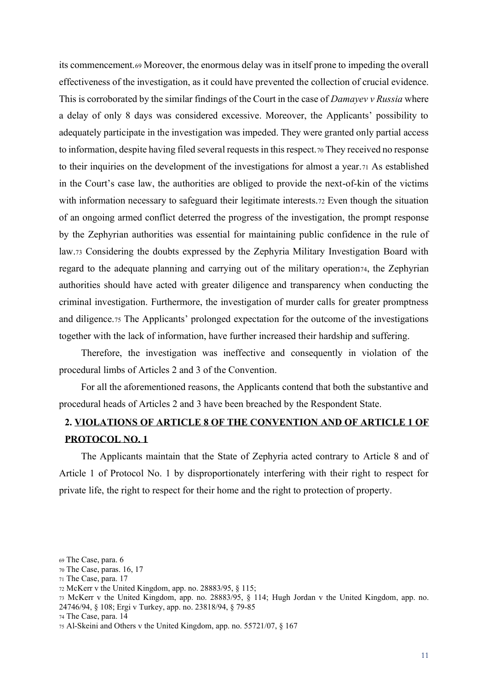its commencement.69 Moreover, the enormous delay was in itself prone to impeding the overall effectiveness of the investigation, as it could have prevented the collection of crucial evidence. This is corroborated by the similar findings of the Court in the case of *Damayev v Russia* where a delay of only 8 days was considered excessive. Moreover, the Applicants' possibility to adequately participate in the investigation was impeded. They were granted only partial access to information, despite having filed several requests in this respect.70 They received no response to their inquiries on the development of the investigations for almost a year.71 As established in the Court's case law, the authorities are obliged to provide the next-of-kin of the victims with information necessary to safeguard their legitimate interests.72 Even though the situation of an ongoing armed conflict deterred the progress of the investigation, the prompt response by the Zephyrian authorities was essential for maintaining public confidence in the rule of law.73 Considering the doubts expressed by the Zephyria Military Investigation Board with regard to the adequate planning and carrying out of the military operation74, the Zephyrian authorities should have acted with greater diligence and transparency when conducting the criminal investigation. Furthermore, the investigation of murder calls for greater promptness and diligence.75 The Applicants' prolonged expectation for the outcome of the investigations together with the lack of information, have further increased their hardship and suffering.

Therefore, the investigation was ineffective and consequently in violation of the procedural limbs of Articles 2 and 3 of the Convention.

For all the aforementioned reasons, the Applicants contend that both the substantive and procedural heads of Articles 2 and 3 have been breached by the Respondent State.

### <span id="page-19-0"></span>**2. VIOLATIONS OF ARTICLE 8 OF THE CONVENTION AND OF ARTICLE 1 OF PROTOCOL NO. 1**

The Applicants maintain that the State of Zephyria acted contrary to Article 8 and of Article 1 of Protocol No. 1 by disproportionately interfering with their right to respect for private life, the right to respect for their home and the right to protection of property.

<sup>69</sup> The Case, para. 6

<sup>70</sup> The Case, paras. 16, 17

<sup>71</sup> The Case, para. 17

<sup>72</sup> McKerr v the United Kingdom, app. no. 28883/95, § 115;

<sup>73</sup> McKerr v the United Kingdom, app. no. 28883/95, § 114; Hugh Jordan v the United Kingdom, app. no. 24746/94, § 108; Ergi v Turkey, app. no. 23818/94, § 79-85

<sup>74</sup> The Case, para. 14

<sup>75</sup> Al-Skeini and Others v the United Kingdom, app. no. 55721/07, § 167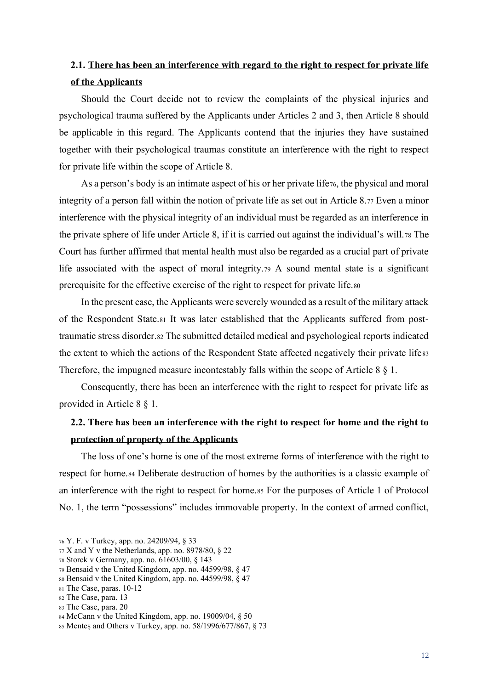# <span id="page-20-0"></span>**2.1. There has been an interference with regard to the right to respect for private life of the Applicants**

Should the Court decide not to review the complaints of the physical injuries and psychological trauma suffered by the Applicants under Articles 2 and 3, then Article 8 should be applicable in this regard. The Applicants contend that the injuries they have sustained together with their psychological traumas constitute an interference with the right to respect for private life within the scope of Article 8.

As a person's body is an intimate aspect of his or her private life<sub>76</sub>, the physical and moral integrity of a person fall within the notion of private life as set out in Article 8.77 Even a minor interference with the physical integrity of an individual must be regarded as an interference in the private sphere of life under Article 8, if it is carried out against the individual's will.<sup>78</sup> The Court has further affirmed that mental health must also be regarded as a crucial part of private life associated with the aspect of moral integrity.79 A sound mental state is a significant prerequisite for the effective exercise of the right to respect for private life.80

In the present case, the Applicants were severely wounded as a result of the military attack of the Respondent State.81 It was later established that the Applicants suffered from posttraumatic stress disorder.82 The submitted detailed medical and psychological reports indicated the extent to which the actions of the Respondent State affected negatively their private lifess Therefore, the impugned measure incontestably falls within the scope of Article 8 § 1.

Consequently, there has been an interference with the right to respect for private life as provided in Article 8 § 1.

### <span id="page-20-1"></span>**2.2. There has been an interference with the right to respect for home and the right to protection of property of the Applicants**

The loss of one's home is one of the most extreme forms of interference with the right to respect for home.84 Deliberate destruction of homes by the authorities is a classic example of an interference with the right to respect for home.85 For the purposes of Article 1 of Protocol No. 1, the term "possessions" includes immovable property. In the context of armed conflict,

<sup>83</sup> The Case, para. 20

<sup>76</sup> Y. F. v Turkey, app. no. 24209/94, § 33

 $77$  X and Y v the Netherlands, app. no. 8978/80, § 22

<sup>78</sup> Storck v Germany, app. no. 61603/00, § 143

<sup>79</sup> Bensaid v the United Kingdom, app. no. 44599/98, § 47

<sup>80</sup> Bensaid v the United Kingdom, app. no. 44599/98, § 47

<sup>81</sup> The Case, paras. 10-12

<sup>82</sup> The Case, para. 13

<sup>84</sup> McCann v the United Kingdom, app. no. 19009/04, § 50

<sup>85</sup> Menteş and Others v Turkey, app. no. 58/1996/677/867, § 73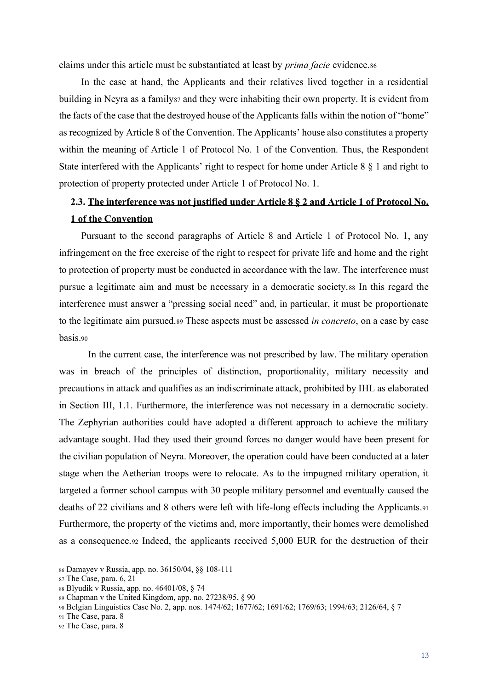claims under this article must be substantiated at least by *prima facie* evidence.86

In the case at hand, the Applicants and their relatives lived together in a residential building in Neyra as a family at a family and they were inhabiting their own property. It is evident from the facts of the case that the destroyed house of the Applicants falls within the notion of "home" as recognized by Article 8 of the Convention. The Applicants' house also constitutes a property within the meaning of Article 1 of Protocol No. 1 of the Convention. Thus, the Respondent State interfered with the Applicants' right to respect for home under Article 8 § 1 and right to protection of property protected under Article 1 of Protocol No. 1.

# <span id="page-21-0"></span>**2.3. The interference was not justified under Article 8 § 2 and Article 1 of Protocol No. 1 of the Convention**

Pursuant to the second paragraphs of Article 8 and Article 1 of Protocol No. 1, any infringement on the free exercise of the right to respect for private life and home and the right to protection of property must be conducted in accordance with the law. The interference must pursue a legitimate aim and must be necessary in a democratic society.88 In this regard the interference must answer a "pressing social need" and, in particular, it must be proportionate to the legitimate aim pursued.89 These aspects must be assessed *in concreto*, on a case by case basis.90

In the current case, the interference was not prescribed by law. The military operation was in breach of the principles of distinction, proportionality, military necessity and precautions in attack and qualifies as an indiscriminate attack, prohibited by IHL as elaborated in Section III, 1.1. Furthermore, the interference was not necessary in a democratic society. The Zephyrian authorities could have adopted a different approach to achieve the military advantage sought. Had they used their ground forces no danger would have been present for the civilian population of Neyra. Moreover, the operation could have been conducted at a later stage when the Aetherian troops were to relocate. As to the impugned military operation, it targeted a former school campus with 30 people military personnel and eventually caused the deaths of 22 civilians and 8 others were left with life-long effects including the Applicants.91 Furthermore, the property of the victims and, more importantly, their homes were demolished as a consequence.92 Indeed, the applicants received 5,000 EUR for the destruction of their

<sup>86</sup> Damayev v Russia, app. no. 36150/04, §§ 108-111

<sup>87</sup> The Case, para. 6, 21

<sup>88</sup> Blyudik v Russia, app. no. 46401/08, § 74

<sup>89</sup> Chapman v the United Kingdom, app. no. 27238/95, § 90

<sup>90</sup> Belgian Linguistics Case No. 2, app. nos. 1474/62; 1677/62; 1691/62; 1769/63; 1994/63; 2126/64, § 7

<sup>91</sup> The Case, para. 8

<sup>92</sup> The Case, para. 8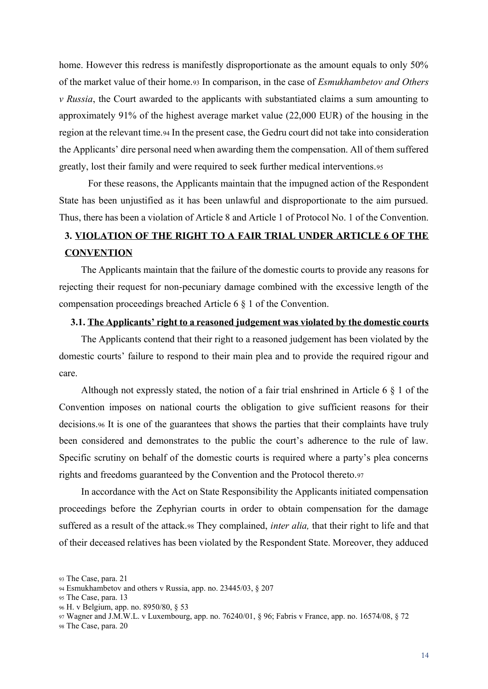home. However this redress is manifestly disproportionate as the amount equals to only 50% of the market value of their home.93 In comparison, in the case of *Esmukhambetov and Others v Russia*, the Court awarded to the applicants with substantiated claims a sum amounting to approximately 91% of the highest average market value (22,000 EUR) of the housing in the region at the relevant time.94 In the present case, the Gedru court did not take into consideration the Applicants' dire personal need when awarding them the compensation. All of them suffered greatly, lost their family and were required to seek further medical interventions.95

For these reasons, the Applicants maintain that the impugned action of the Respondent State has been unjustified as it has been unlawful and disproportionate to the aim pursued. Thus, there has been a violation of Article 8 and Article 1 of Protocol No. 1 of the Convention.

## <span id="page-22-0"></span>**3. VIOLATION OF THE RIGHT TO A FAIR TRIAL UNDER ARTICLE 6 OF THE CONVENTION**

The Applicants maintain that the failure of the domestic courts to provide any reasons for rejecting their request for non-pecuniary damage combined with the excessive length of the compensation proceedings breached Article 6 § 1 of the Convention.

#### <span id="page-22-1"></span>**3.1. The Applicants' right to a reasoned judgement was violated by the domestic courts**

The Applicants contend that their right to a reasoned judgement has been violated by the domestic courts' failure to respond to their main plea and to provide the required rigour and care.

Although not expressly stated, the notion of a fair trial enshrined in Article 6 § 1 of the Convention imposes on national courts the obligation to give sufficient reasons for their decisions.96 It is one of the guarantees that shows the parties that their complaints have truly been considered and demonstrates to the public the court's adherence to the rule of law. Specific scrutiny on behalf of the domestic courts is required where a party's plea concerns rights and freedoms guaranteed by the Convention and the Protocol thereto.97

In accordance with the Act on State Responsibility the Applicants initiated compensation proceedings before the Zephyrian courts in order to obtain compensation for the damage suffered as a result of the attack.98 They complained, *inter alia,* that their right to life and that of their deceased relatives has been violated by the Respondent State. Moreover, they adduced

<sup>93</sup> The Case, para. 21

<sup>94</sup> Esmukhambetov and others v Russia, app. no. 23445/03, § 207

<sup>95</sup> The Case, para. 13

<sup>96</sup> H. v Belgium, app. no. 8950/80, § 53

<sup>97</sup> Wagner and J.M.W.L. v Luxembourg, app. no. 76240/01, § 96; Fabris v France, app. no. 16574/08, § 72

<sup>98</sup> The Case, para. 20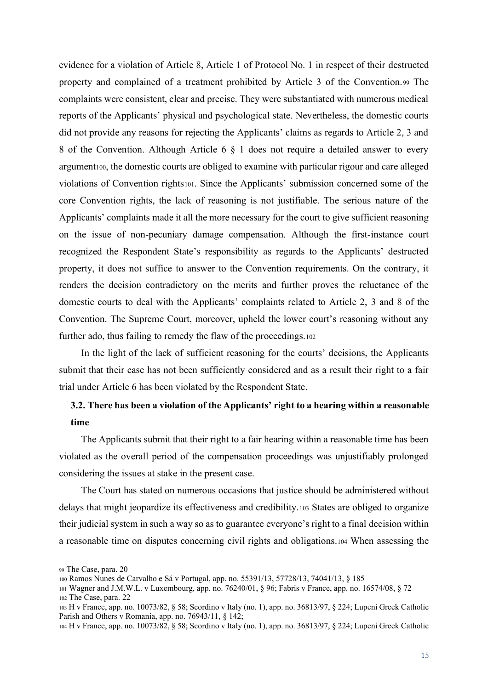evidence for a violation of Article 8, Article 1 of Protocol No. 1 in respect of their destructed property and complained of a treatment prohibited by Article 3 of the Convention.99 The complaints were consistent, clear and precise. They were substantiated with numerous medical reports of the Applicants' physical and psychological state. Nevertheless, the domestic courts did not provide any reasons for rejecting the Applicants' claims as regards to Article 2, 3 and 8 of the Convention. Although Article 6 § 1 does not require a detailed answer to every argument<sub>100</sub>, the domestic courts are obliged to examine with particular rigour and care alleged violations of Convention rights101. Since the Applicants' submission concerned some of the core Convention rights, the lack of reasoning is not justifiable. The serious nature of the Applicants' complaints made it all the more necessary for the court to give sufficient reasoning on the issue of non-pecuniary damage compensation. Although the first-instance court recognized the Respondent State's responsibility as regards to the Applicants' destructed property, it does not suffice to answer to the Convention requirements. On the contrary, it renders the decision contradictory on the merits and further proves the reluctance of the domestic courts to deal with the Applicants' complaints related to Article 2, 3 and 8 of the Convention. The Supreme Court, moreover, upheld the lower court's reasoning without any further ado, thus failing to remedy the flaw of the proceedings.102

In the light of the lack of sufficient reasoning for the courts' decisions, the Applicants submit that their case has not been sufficiently considered and as a result their right to a fair trial under Article 6 has been violated by the Respondent State.

### <span id="page-23-0"></span>**3.2. There has been a violation of the Applicants' right to a hearing within a reasonable time**

The Applicants submit that their right to a fair hearing within a reasonable time has been violated as the overall period of the compensation proceedings was unjustifiably prolonged considering the issues at stake in the present case.

The Court has stated on numerous occasions that justice should be administered without delays that might jeopardize its effectiveness and credibility.103 States are obliged to organize their judicial system in such a way so as to guarantee everyone's right to a final decision within a reasonable time on disputes concerning civil rights and obligations.104 When assessing the

<sup>99</sup> The Case, para. 20

<sup>100</sup> Ramos Nunes de Carvalho e Sá v Portugal, app. no. 55391/13, 57728/13, 74041/13, § 185

<sup>101</sup> Wagner and J.M.W.L. v Luxembourg, app. no. 76240/01, § 96; Fabris v France, app. no. 16574/08, § 72 <sup>102</sup> The Case, para. 22

<sup>103</sup> H v France, app. no. 10073/82, § 58; Scordino v Italy (no. 1), app. no. 36813/97, § 224; Lupeni Greek Catholic Parish and Others v Romania, app. no. 76943/11, § 142;

<sup>104</sup> H v France, app. no. 10073/82, § 58; Scordino v Italy (no. 1), app. no. 36813/97, § 224; Lupeni Greek Catholic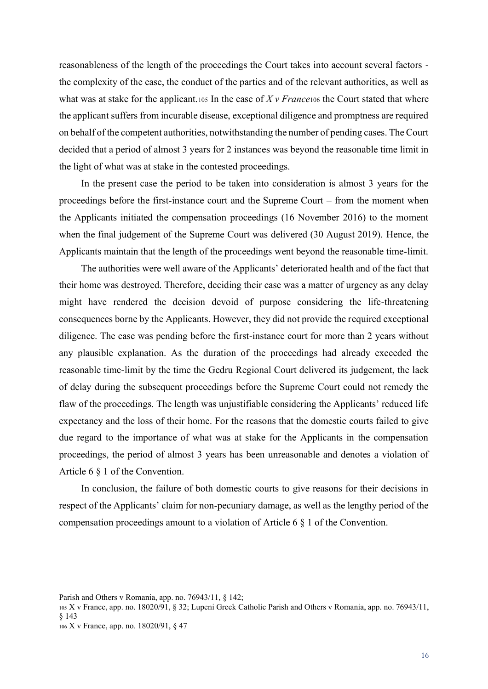reasonableness of the length of the proceedings the Court takes into account several factors the complexity of the case, the conduct of the parties and of the relevant authorities, as well as what was at stake for the applicant.<sup>105</sup> In the case of *X v France*<sup>106</sup> the Court stated that where the applicant suffers from incurable disease, exceptional diligence and promptness are required on behalf of the competent authorities, notwithstanding the number of pending cases. The Court decided that a period of almost 3 years for 2 instances was beyond the reasonable time limit in the light of what was at stake in the contested proceedings.

In the present case the period to be taken into consideration is almost 3 years for the proceedings before the first-instance court and the Supreme Court – from the moment when the Applicants initiated the compensation proceedings (16 November 2016) to the moment when the final judgement of the Supreme Court was delivered (30 August 2019). Hence, the Applicants maintain that the length of the proceedings went beyond the reasonable time-limit.

The authorities were well aware of the Applicants' deteriorated health and of the fact that their home was destroyed. Therefore, deciding their case was a matter of urgency as any delay might have rendered the decision devoid of purpose considering the life-threatening consequences borne by the Applicants. However, they did not provide the required exceptional diligence. The case was pending before the first-instance court for more than 2 years without any plausible explanation. As the duration of the proceedings had already exceeded the reasonable time-limit by the time the Gedru Regional Court delivered its judgement, the lack of delay during the subsequent proceedings before the Supreme Court could not remedy the flaw of the proceedings. The length was unjustifiable considering the Applicants' reduced life expectancy and the loss of their home. For the reasons that the domestic courts failed to give due regard to the importance of what was at stake for the Applicants in the compensation proceedings, the period of almost 3 years has been unreasonable and denotes a violation of Article 6 § 1 of the Convention.

In conclusion, the failure of both domestic courts to give reasons for their decisions in respect of the Applicants' claim for non-pecuniary damage, as well as the lengthy period of the compensation proceedings amount to a violation of Article 6 § 1 of the Convention.

Parish and Others v Romania, app. no. 76943/11, § 142;

<sup>105</sup> X v France, app. no. 18020/91, § 32; Lupeni Greek Catholic Parish and Others v Romania, app. no. 76943/11, § 143 <sup>106</sup> X v France, app. no. 18020/91, § 47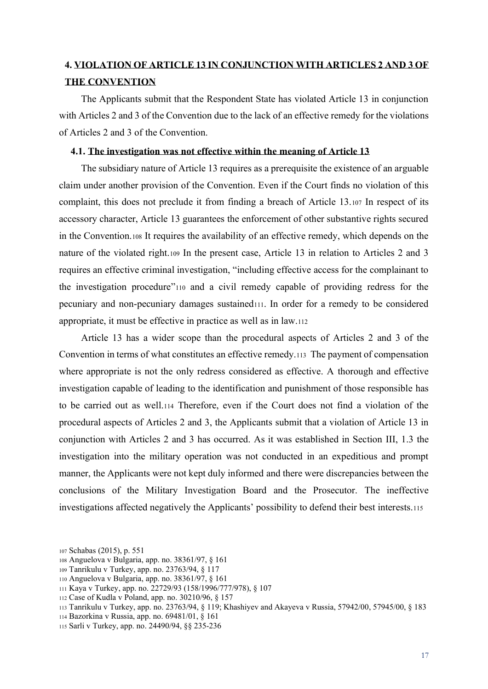### <span id="page-25-0"></span>**4. VIOLATION OF ARTICLE 13 IN CONJUNCTION WITH ARTICLES 2 AND 3 OF THE CONVENTION**

The Applicants submit that the Respondent State has violated Article 13 in conjunction with Articles 2 and 3 of the Convention due to the lack of an effective remedy for the violations of Articles 2 and 3 of the Convention.

#### <span id="page-25-1"></span>**4.1. The investigation was not effective within the meaning of Article 13**

The subsidiary nature of Article 13 requires as a prerequisite the existence of an arguable claim under another provision of the Convention. Even if the Court finds no violation of this complaint, this does not preclude it from finding a breach of Article 13.107 In respect of its accessory character, Article 13 guarantees the enforcement of other substantive rights secured in the Convention.108 It requires the availability of an effective remedy, which depends on the nature of the violated right.109 In the present case, Article 13 in relation to Articles 2 and 3 requires an effective criminal investigation, "including effective access for the complainant to the investigation procedure"<sup>110</sup> and a civil remedy capable of providing redress for the pecuniary and non-pecuniary damages sustained111. In order for a remedy to be considered appropriate, it must be effective in practice as well as in law.112

Article 13 has a wider scope than the procedural aspects of Articles 2 and 3 of the Convention in terms of what constitutes an effective remedy.113 The payment of compensation where appropriate is not the only redress considered as effective. A thorough and effective investigation capable of leading to the identification and punishment of those responsible has to be carried out as well.114 Therefore, even if the Court does not find a violation of the procedural aspects of Articles 2 and 3, the Applicants submit that a violation of Article 13 in conjunction with Articles 2 and 3 has occurred. As it was established in Section III, 1.3 the investigation into the military operation was not conducted in an expeditious and prompt manner, the Applicants were not kept duly informed and there were discrepancies between the conclusions of the Military Investigation Board and the Prosecutor. The ineffective investigations affected negatively the Applicants' possibility to defend their best interests.<sup>115</sup>

<sup>107</sup> Schabas (2015), p. 551

<sup>108</sup> Anguelova v Bulgaria, app. no. 38361/97, § 161

<sup>109</sup> Tanrikulu v Turkey, app. no. 23763/94, § 117

<sup>110</sup> Anguelova v Bulgaria, app. no. 38361/97, § 161

<sup>111</sup> Kaya v Turkey, app. no. 22729/93 (158/1996/777/978), § 107

<sup>112</sup> Case of Kudla v Poland, app. no. 30210/96, § 157

<sup>113</sup> Tanrikulu v Turkey, app. no. 23763/94, § 119; Khashiyev and Akayeva v Russia, 57942/00, 57945/00, § 183

<sup>114</sup> Bazorkina v Russia, app. no. 69481/01, § 161

<sup>115</sup> Sarli v Turkey, app. no. 24490/94, §§ 235-236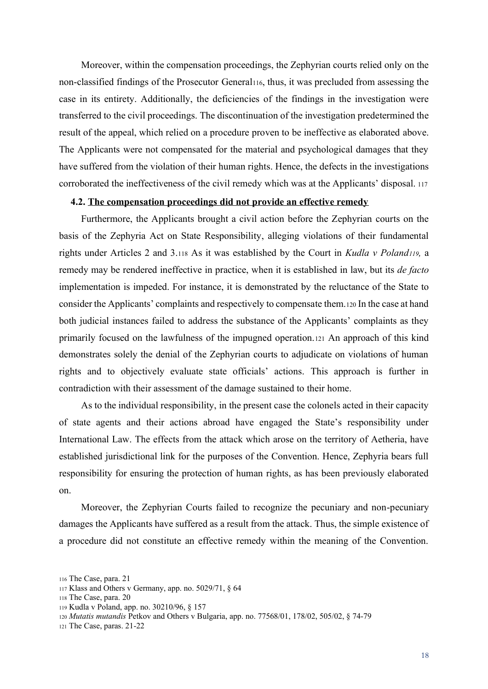Moreover, within the compensation proceedings, the Zephyrian courts relied only on the non-classified findings of the Prosecutor General116, thus, it was precluded from assessing the case in its entirety. Additionally, the deficiencies of the findings in the investigation were transferred to the civil proceedings. The discontinuation of the investigation predetermined the result of the appeal, which relied on a procedure proven to be ineffective as elaborated above. The Applicants were not compensated for the material and psychological damages that they have suffered from the violation of their human rights. Hence, the defects in the investigations corroborated the ineffectiveness of the civil remedy which was at the Applicants' disposal. <sup>117</sup>

#### <span id="page-26-0"></span>**4.2. The compensation proceedings did not provide an effective remedy**

Furthermore, the Applicants brought a civil action before the Zephyrian courts on the basis of the Zephyria Act on State Responsibility, alleging violations of their fundamental rights under Articles 2 and 3.118 As it was established by the Court in *Kudla v Poland119,* a remedy may be rendered ineffective in practice, when it is established in law, but its *de facto* implementation is impeded. For instance, it is demonstrated by the reluctance of the State to consider the Applicants' complaints and respectively to compensate them.120 In the case at hand both judicial instances failed to address the substance of the Applicants' complaints as they primarily focused on the lawfulness of the impugned operation.121 An approach of this kind demonstrates solely the denial of the Zephyrian courts to adjudicate on violations of human rights and to objectively evaluate state officials' actions. This approach is further in contradiction with their assessment of the damage sustained to their home.

As to the individual responsibility, in the present case the colonels acted in their capacity of state agents and their actions abroad have engaged the State's responsibility under International Law. The effects from the attack which arose on the territory of Aetheria, have established jurisdictional link for the purposes of the Convention. Hence, Zephyria bears full responsibility for ensuring the protection of human rights, as has been previously elaborated on.

Moreover, the Zephyrian Courts failed to recognize the pecuniary and non-pecuniary damages the Applicants have suffered as a result from the attack. Thus, the simple existence of a procedure did not constitute an effective remedy within the meaning of the Convention.

<sup>116</sup> The Case, para. 21

<sup>117</sup> Klass and Others v Germany, app. no. 5029/71, § 64

<sup>118</sup> The Case, para. 20

<sup>119</sup> Kudla v Poland, app. no. 30210/96, § 157

<sup>120</sup> *Mutatis mutandis* Petkov and Others v Bulgaria, app. no. 77568/01, 178/02, 505/02, § 74-79

<sup>121</sup> The Case, paras. 21-22